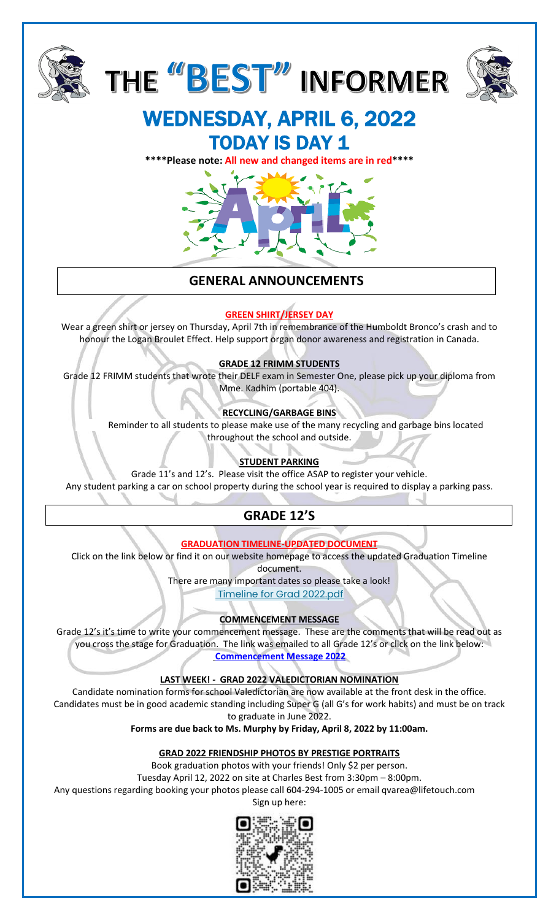





# WEDNESDAY, APRIL 6, 2022 **TODAY IS DAY 1**

**\*\*\*\*Please note: All new and changed items are in red\*\*\*\***



# **GENERAL ANNOUNCEMENTS**

## **GREEN SHIRT/JERSEY DAY**

Wear a green shirt or jersey on Thursday, April 7th in remembrance of the Humboldt Bronco's crash and to honour the Logan Broulet Effect. Help support organ donor awareness and registration in Canada.

## **GRADE 12 FRIMM STUDENTS**

Grade 12 FRIMM students that wrote their DELF exam in Semester One, please pick up your diploma from Mme. Kadhim (portable 404).

## **RECYCLING/GARBAGE BINS**

Reminder to all students to please make use of the many recycling and garbage bins located throughout the school and outside.

## **STUDENT PARKING**

Grade 11's and 12's. Please visit the office ASAP to register your vehicle. Any student parking a car on school property during the school year is required to display a parking pass.

# **GRADE 12'S**

**GRADUATION TIMELINE-UPDATED DOCUMENT**

Click on the link below or find it on our website homepage to access the updated Graduation Timeline

document.

There are many important dates so please take a look!

[Timeline for Grad 2022.pdf](https://www.sd43.bc.ca/school/charlesbest/Documents/Timeline%20for%20Grad%202022.pdf)

## **COMMENCEMENT MESSAGE**

Grade 12's it's time to write your commencement message. These are the comments that will be read out as you cross the stage for Graduation. The link was emailed to all Grade 12's or click on the link below: **[Commencement Message 2022](https://forms.office.com/Pages/ResponsePage.aspx?id=74xl2ZICUkKZJWRC3iSkS2U9i0mSAAZBgmBJ4n69wmtUQVNJMThMR0o1QzlGOEJFMUw5Nk9VVU1BQS4u)**

**LAST WEEK! - GRAD 2022 VALEDICTORIAN NOMINATION**

Candidate nomination forms for school Valedictorian are now available at the front desk in the office. Candidates must be in good academic standing including Super G (all G's for work habits) and must be on track to graduate in June 2022.

**Forms are due back to Ms. Murphy by Friday, April 8, 2022 by 11:00am.**

## **GRAD 2022 FRIENDSHIP PHOTOS BY PRESTIGE PORTRAITS**

Book graduation photos with your friends! Only \$2 per person.

Tuesday April 12, 2022 on site at Charles Best from 3:30pm – 8:00pm.

Any questions regarding booking your photos please call 604-294-1005 or email qvarea@lifetouch.com



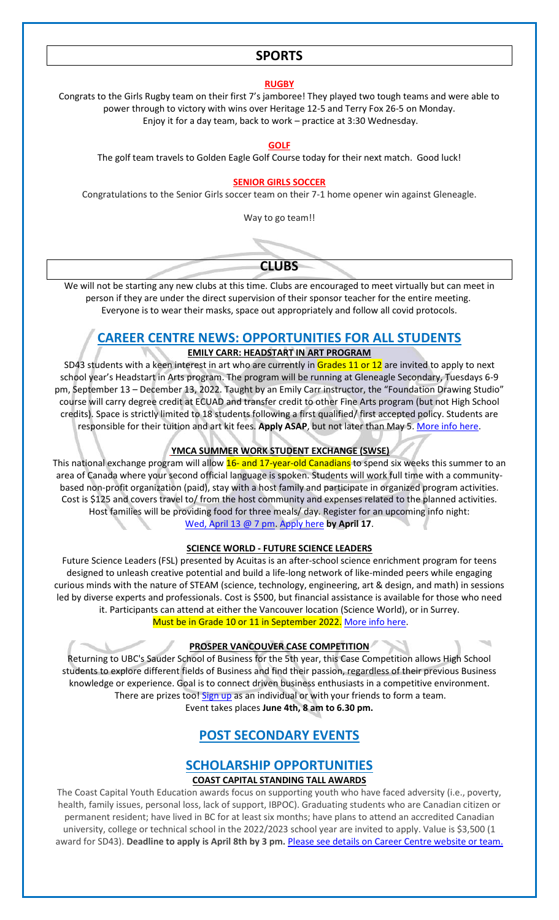### **SPORTS**

#### **RUGBY**

Congrats to the Girls Rugby team on their first 7's jamboree! They played two tough teams and were able to power through to victory with wins over Heritage 12-5 and Terry Fox 26-5 on Monday. Enjoy it for a day team, back to work – practice at 3:30 Wednesday.

#### **GOLF**

The golf team travels to Golden Eagle Golf Course today for their next match. Good luck!

#### **SENIOR GIRLS SOCCER**

Congratulations to the Senior Girls soccer team on their 7-1 home opener win against Gleneagle.

Way to go team!!



We will not be starting any new clubs at this time. Clubs are encouraged to meet virtually but can meet in person if they are under the direct supervision of their sponsor teacher for the entire meeting. Everyone is to wear their masks, space out appropriately and follow all covid protocols.

## **CAREER CENTRE NEWS: OPPORTUNITIES FOR ALL STUDENTS**

#### **EMILY CARR: HEADSTART IN ART PROGRAM**

SD43 students with a keen interest in art who are currently in Grades 11 or 12 are invited to apply to next school year's Headstart in Arts program. The program will be running at Gleneagle Secondary, Tuesdays 6-9 pm, September 13 – December 13, 2022. Taught by an Emily Carr instructor, the "Foundation Drawing Studio" course will carry degree credit at ECUAD and transfer credit to other Fine Arts program (but not High School credits). Space is strictly limited to 18 students following a first qualified/ first accepted policy. Students are responsible for their tuition and art kit fees. **Apply ASAP**, but not later than May 5. [More info here.](https://www.sd43.bc.ca/school/charlesbest/ProgramsServices/career/_layouts/15/listform.aspx?PageType=4&ListId=%7B41C9D681%2DFF3F%2D4D5F%2DAD5C%2DC55FEEDEEFEB%7D&ID=584&ContentTypeID=0x010400D72B582DA952864E8938702780493C8C)

#### **YMCA SUMMER WORK STUDENT EXCHANGE (SWSE)**

This national exchange program will allow 16- and 17-year-old Canadians to spend six weeks this summer to an area of Canada where your second official language is spoken. Students will work full time with a communitybased non-profit organization (paid), stay with a host family and participate in organized program activities. Cost is \$125 and covers travel to/ from the host community and expenses related to the planned activities. Host families will be providing food for three meals/ day. Register for an upcoming info night: [Wed, April 13 @ 7 pm.](https://zoom.us/meeting/register/tJAsdeyhpzIoE9AjW4825LU4GBDZIKYxL_QD) [Apply here](https://swse.ymcagta.org/) **by April 17**.

#### **SCIENCE WORLD - FUTURE SCIENCE LEADERS**

Future Science Leaders (FSL) presented by Acuitas is an after-school science enrichment program for teens designed to unleash creative potential and build a life-long network of like-minded peers while engaging curious minds with the nature of STEAM (science, technology, engineering, art & design, and math) in sessions led by diverse experts and professionals. Cost is \$500, but financial assistance is available for those who need it. Participants can attend at either the Vancouver location (Science World), or in Surrey. Must be in Grade 10 or 11 in September 2022. [More info here.](https://www.scienceworld.ca/futurescienceleaders/#-strong-where-and-when-does-em-future-science-leaders-em-happen-strong-)

#### **PROSPER VANCOUVER CASE COMPETITION**

Returning to UBC's Sauder School of Business for the 5th year, this Case Competition allows High School students to explore different fields of Business and find their passion, regardless of their previous Business knowledge or experience. Goal is to connect driven business enthusiasts in a competitive environment. There are prizes too! [Sign up](https://www.prospervancouver.org/) as an individual or with your friends to form a team. Event takes places **June 4th, 8 am to 6.30 pm.**

## **POST SECONDARY EVENTS**

## **SCHOLARSHIP OPPORTUNITIES**

#### **COAST CAPITAL STANDING TALL AWARDS**

The Coast Capital Youth Education awards focus on supporting youth who have faced adversity (i.e., poverty, health, family issues, personal loss, lack of support, IBPOC). Graduating students who are Canadian citizen or permanent resident; have lived in BC for at least six months; have plans to attend an accredited Canadian university, college or technical school in the 2022/2023 school year are invited to apply. Value is \$3,500 (1 award for SD43). **Deadline to apply is April 8th by 3 pm.** [Please see details on Career Centre website or team.](http://www.sd43.bc.ca/school/charlesbest/ProgramsServices/career/_layouts/15/listform.aspx?PageType=4&ListId=%7BC2183A5B%2DA851%2D4C17%2D8F27%2DC9CE2E863FEA%7D&ID=763&ContentTypeID=0x01040078A70633843589478226111D74A8752A)